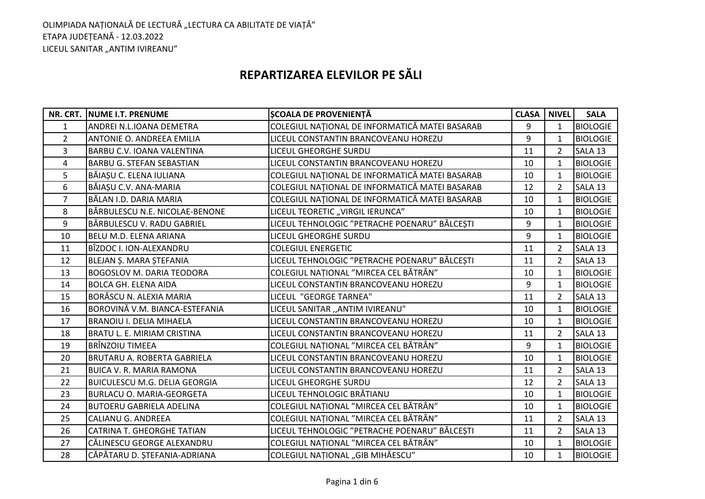# **REPARTIZAREA ELEVILOR PE SĂLI**

|                | NR. CRT. NUME I.T. PRENUME           | <b>SCOALA DE PROVENIENȚĂ</b>                   | <b>CLASA</b> | <b>NIVEL</b>   | <b>SALA</b>     |
|----------------|--------------------------------------|------------------------------------------------|--------------|----------------|-----------------|
| $\mathbf{1}$   | ANDREI N.L.IOANA DEMETRA             | COLEGIUL NAȚIONAL DE INFORMATICĂ MATEI BASARAB | 9            | $\mathbf{1}$   | <b>BIOLOGIE</b> |
| $\overline{2}$ | ANTONIE O. ANDREEA EMILIA            | LICEUL CONSTANTIN BRANCOVEANU HOREZU           | 9            | $\mathbf{1}$   | <b>BIOLOGIE</b> |
| 3              | BARBU C.V. IOANA VALENTINA           | LICEUL GHEORGHE SURDU                          | 11           | $\overline{2}$ | SALA 13         |
| 4              | <b>BARBU G. STEFAN SEBASTIAN</b>     | LICEUL CONSTANTIN BRANCOVEANU HOREZU           | 10           | $\mathbf{1}$   | <b>BIOLOGIE</b> |
| 5              | BĂIAȘU C. ELENA IULIANA              | COLEGIUL NAȚIONAL DE INFORMATICĂ MATEI BASARAB | 10           | 1              | <b>BIOLOGIE</b> |
| 6              | BĂIAȘU C.V. ANA-MARIA                | COLEGIUL NAȚIONAL DE INFORMATICĂ MATEI BASARAB | 12           | $\overline{2}$ | SALA 13         |
| $\overline{7}$ | BĂLAN I.D. DARIA MARIA               | COLEGIUL NAȚIONAL DE INFORMATICĂ MATEI BASARAB | 10           | $\mathbf{1}$   | <b>BIOLOGIE</b> |
| 8              | BĂRBULESCU N.E. NICOLAE-BENONE       | LICEUL TEORETIC "VIRGIL IERUNCA"               | 10           | 1              | <b>BIOLOGIE</b> |
| 9              | BĂRBULESCU V. RADU GABRIEL           | LICEUL TEHNOLOGIC "PETRACHE POENARU" BĂLCEȘTI  | 9            | $\mathbf{1}$   | <b>BIOLOGIE</b> |
| 10             | BELU M.D. ELENA ARIANA               | <b>LICEUL GHEORGHE SURDU</b>                   | 9            | $\mathbf{1}$   | <b>BIOLOGIE</b> |
| 11             | BÎZDOC I. ION-ALEXANDRU              | <b>COLEGIUL ENERGETIC</b>                      | 11           | $\overline{2}$ | SALA 13         |
| 12             | BLEJAN Ș. MARA ȘTEFANIA              | LICEUL TEHNOLOGIC "PETRACHE POENARU" BĂLCEȘTI  | 11           | 2              | SALA 13         |
| 13             | <b>BOGOSLOV M. DARIA TEODORA</b>     | COLEGIUL NAȚIONAL "MIRCEA CEL BĂTRÂN"          | 10           | 1              | <b>BIOLOGIE</b> |
| 14             | <b>BOLCA GH. ELENA AIDA</b>          | LICEUL CONSTANTIN BRANCOVEANU HOREZU           | 9            | $\mathbf{1}$   | <b>BIOLOGIE</b> |
| 15             | <b>BORĂSCU N. ALEXIA MARIA</b>       | LICEUL "GEORGE TARNEA"                         | 11           | $\overline{2}$ | SALA 13         |
| 16             | BOROVINĂ V.M. BIANCA-ESTEFANIA       | LICEUL SANITAR "ANTIM IVIREANU"                | 10           | $\mathbf{1}$   | <b>BIOLOGIE</b> |
| 17             | <b>BRANOIU I. DELIA MIHAELA</b>      | LICEUL CONSTANTIN BRANCOVEANU HOREZU           | 10           | 1              | <b>BIOLOGIE</b> |
| 18             | BRATU L. E. MIRIAM CRISTINA          | LICEUL CONSTANTIN BRANCOVEANU HOREZU           | 11           | $\overline{2}$ | SALA 13         |
| 19             | <b>BRÎNZOIU TIMEEA</b>               | COLEGIUL NAȚIONAL "MIRCEA CEL BĂTRÂN"          | 9            | $\mathbf{1}$   | <b>BIOLOGIE</b> |
| 20             | <b>BRUTARU A. ROBERTA GABRIELA</b>   | LICEUL CONSTANTIN BRANCOVEANU HOREZU           | 10           | $\mathbf{1}$   | <b>BIOLOGIE</b> |
| 21             | <b>BUICA V. R. MARIA RAMONA</b>      | LICEUL CONSTANTIN BRANCOVEANU HOREZU           | 11           | 2              | SALA 13         |
| 22             | <b>BUICULESCU M.G. DELIA GEORGIA</b> | <b>LICEUL GHEORGHE SURDU</b>                   | 12           | $\overline{2}$ | SALA 13         |
| 23             | <b>BURLACU O. MARIA-GEORGETA</b>     | LICEUL TEHNOLOGIC BRĂTIANU                     | 10           | $\mathbf{1}$   | <b>BIOLOGIE</b> |
| 24             | <b>BUTOERU GABRIELA ADELINA</b>      | COLEGIUL NAȚIONAL "MIRCEA CEL BĂTRÂN"          | 10           | $\mathbf{1}$   | <b>BIOLOGIE</b> |
| 25             | <b>CALIANU G. ANDREEA</b>            | COLEGIUL NAȚIONAL "MIRCEA CEL BĂTRÂN"          | 11           | $\overline{2}$ | SALA 13         |
| 26             | CATRINA T. GHEORGHE TATIAN           | LICEUL TEHNOLOGIC "PETRACHE POENARU" BĂLCEȘTI  | 11           | $\overline{2}$ | SALA 13         |
| 27             | CĂLINESCU GEORGE ALEXANDRU           | COLEGIUL NATIONAL "MIRCEA CEL BĂTRÂN"          | 10           | $\mathbf{1}$   | <b>BIOLOGIE</b> |
| 28             | CĂPĂTARU D. ȘTEFANIA-ADRIANA         | COLEGIUL NATIONAL "GIB MIHĂESCU"               | 10           | $\mathbf{1}$   | <b>BIOLOGIE</b> |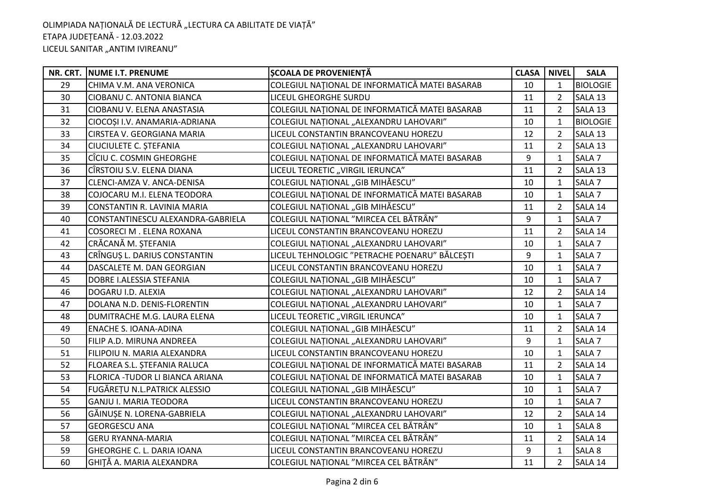|    | NR. CRT. NUME I.T. PRENUME        | ȘCOALA DE PROVENIENȚĂ                          | <b>CLASA</b> | <b>NIVEL</b>   | <b>SALA</b>       |
|----|-----------------------------------|------------------------------------------------|--------------|----------------|-------------------|
| 29 | CHIMA V.M. ANA VERONICA           | COLEGIUL NAȚIONAL DE INFORMATICĂ MATEI BASARAB | 10           | $\mathbf{1}$   | <b>BIOLOGIE</b>   |
| 30 | CIOBANU C. ANTONIA BIANCA         | LICEUL GHEORGHE SURDU                          | 11           | $\overline{2}$ | SALA 13           |
| 31 | CIOBANU V. ELENA ANASTASIA        | COLEGIUL NAȚIONAL DE INFORMATICĂ MATEI BASARAB | 11           | $\overline{2}$ | SALA 13           |
| 32 | CIOCOȘI I.V. ANAMARIA-ADRIANA     | COLEGIUL NAȚIONAL "ALEXANDRU LAHOVARI"         | 10           | $\mathbf{1}$   | <b>BIOLOGIE</b>   |
| 33 | CIRSTEA V. GEORGIANA MARIA        | LICEUL CONSTANTIN BRANCOVEANU HOREZU           | 12           | 2              | SALA 13           |
| 34 | CIUCIULETE C. STEFANIA            | COLEGIUL NATIONAL "ALEXANDRU LAHOVARI"         | 11           | 2              | SALA 13           |
| 35 | CÎCIU C. COSMIN GHEORGHE          | COLEGIUL NAȚIONAL DE INFORMATICĂ MATEI BASARAB | 9            | $\mathbf{1}$   | SALA <sub>7</sub> |
| 36 | CÎRSTOIU S.V. ELENA DIANA         | LICEUL TEORETIC "VIRGIL IERUNCA"               | 11           | 2              | SALA 13           |
| 37 | CLENCI-AMZA V. ANCA-DENISA        | COLEGIUL NATIONAL "GIB MIHĂESCU"               | 10           | $\mathbf{1}$   | SALA <sub>7</sub> |
| 38 | COJOCARU M.I. ELENA TEODORA       | COLEGIUL NAȚIONAL DE INFORMATICĂ MATEI BASARAB | 10           | $\mathbf{1}$   | SALA <sub>7</sub> |
| 39 | CONSTANTIN R. LAVINIA MARIA       | COLEGIUL NAȚIONAL "GIB MIHĂESCU"               | 11           | 2              | SALA 14           |
| 40 | CONSTANTINESCU ALEXANDRA-GABRIELA | COLEGIUL NAȚIONAL "MIRCEA CEL BĂTRÂN"          | 9            | $\mathbf{1}$   | SALA <sub>7</sub> |
| 41 | COSORECI M . ELENA ROXANA         | LICEUL CONSTANTIN BRANCOVEANU HOREZU           | 11           | $\overline{2}$ | SALA 14           |
| 42 | CRĂCANĂ M. STEFANIA               | COLEGIUL NAȚIONAL "ALEXANDRU LAHOVARI"         | 10           | $\mathbf{1}$   | SALA <sub>7</sub> |
| 43 | CRÎNGUȘ L. DARIUS CONSTANTIN      | LICEUL TEHNOLOGIC "PETRACHE POENARU" BĂLCEȘTI  | 9            | $\mathbf{1}$   | SALA <sub>7</sub> |
| 44 | DASCALETE M. DAN GEORGIAN         | LICEUL CONSTANTIN BRANCOVEANU HOREZU           | 10           | $\mathbf{1}$   | SALA <sub>7</sub> |
| 45 | DOBRE I.ALESSIA STEFANIA          | COLEGIUL NAȚIONAL "GIB MIHĂESCU"               | 10           | $\mathbf{1}$   | SALA <sub>7</sub> |
| 46 | DOGARU I.D. ALEXIA                | COLEGIUL NAȚIONAL "ALEXANDRU LAHOVARI"         | 12           | 2              | SALA 14           |
| 47 | DOLANA N.D. DENIS-FLORENTIN       | COLEGIUL NAȚIONAL "ALEXANDRU LAHOVARI"         | 10           | 1              | SALA <sub>7</sub> |
| 48 | DUMITRACHE M.G. LAURA ELENA       | LICEUL TEORETIC "VIRGIL IERUNCA"               | 10           | $\mathbf 1$    | SALA <sub>7</sub> |
| 49 | <b>ENACHE S. IOANA-ADINA</b>      | COLEGIUL NAȚIONAL "GIB MIHĂESCU"               | 11           | 2              | SALA 14           |
| 50 | FILIP A.D. MIRUNA ANDREEA         | COLEGIUL NAȚIONAL "ALEXANDRU LAHOVARI"         | 9            | $\mathbf{1}$   | SALA <sub>7</sub> |
| 51 | FILIPOIU N. MARIA ALEXANDRA       | LICEUL CONSTANTIN BRANCOVEANU HOREZU           | 10           | 1              | SALA <sub>7</sub> |
| 52 | FLOAREA S.L. ȘTEFANIA RALUCA      | COLEGIUL NAȚIONAL DE INFORMATICĂ MATEI BASARAB | 11           | 2              | SALA 14           |
| 53 | FLORICA - TUDOR LI BIANCA ARIANA  | COLEGIUL NAȚIONAL DE INFORMATICĂ MATEI BASARAB | 10           | $\mathbf{1}$   | SALA <sub>7</sub> |
| 54 | FUGĂREȚU N.L.PATRICK ALESSIO      | COLEGIUL NAȚIONAL "GIB MIHĂESCU"               | 10           | $\mathbf{1}$   | SALA <sub>7</sub> |
| 55 | <b>GANJU I. MARIA TEODORA</b>     | LICEUL CONSTANTIN BRANCOVEANU HOREZU           | 10           | $\mathbf 1$    | SALA <sub>7</sub> |
| 56 | GĂINUȘE N. LORENA-GABRIELA        | COLEGIUL NAȚIONAL "ALEXANDRU LAHOVARI"         | 12           | $\overline{2}$ | SALA 14           |
| 57 | <b>GEORGESCU ANA</b>              | COLEGIUL NAȚIONAL "MIRCEA CEL BĂTRÂN"          | 10           | $\mathbf{1}$   | SALA 8            |
| 58 | <b>GERU RYANNA-MARIA</b>          | COLEGIUL NAȚIONAL "MIRCEA CEL BĂTRÂN"          | 11           | 2              | SALA 14           |
| 59 | GHEORGHE C. L. DARIA IOANA        | LICEUL CONSTANTIN BRANCOVEANU HOREZU           | 9            | $\mathbf{1}$   | SALA 8            |
| 60 | GHITĂ A. MARIA ALEXANDRA          | COLEGIUL NAȚIONAL "MIRCEA CEL BĂTRÂN"          | 11           | $\overline{2}$ | SALA 14           |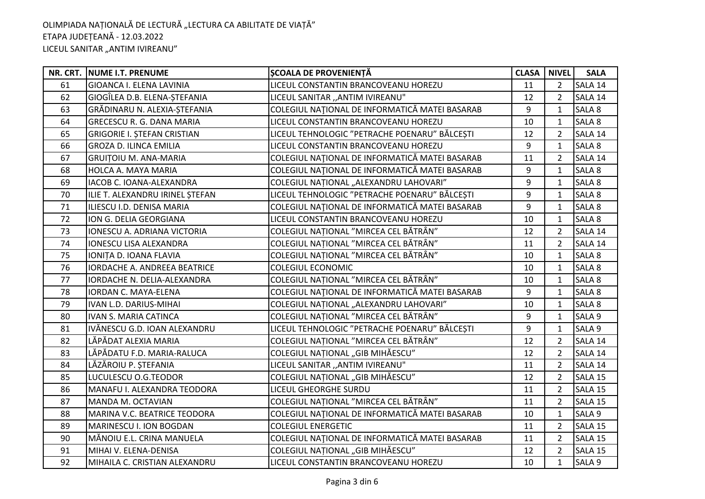|    | NR. CRT. NUME I.T. PRENUME          | ȘCOALA DE PROVENIENȚĂ                          | <b>CLASA</b> | <b>NIVEL</b>   | <b>SALA</b> |
|----|-------------------------------------|------------------------------------------------|--------------|----------------|-------------|
| 61 | <b>GIOANCA I. ELENA LAVINIA</b>     | LICEUL CONSTANTIN BRANCOVEANU HOREZU           | 11           | $\overline{2}$ | SALA 14     |
| 62 | GIOGÎLEA D.B. ELENA-STEFANIA        | LICEUL SANITAR "ANTIM IVIREANU"                | 12           | 2              | SALA 14     |
| 63 | GRĂDINARU N. ALEXIA-ȘTEFANIA        | COLEGIUL NAȚIONAL DE INFORMATICĂ MATEI BASARAB | 9            | $\mathbf 1$    | SALA 8      |
| 64 | <b>GRECESCU R. G. DANA MARIA</b>    | LICEUL CONSTANTIN BRANCOVEANU HOREZU           | 10           | 1              | SALA 8      |
| 65 | <b>GRIGORIE I. ȘTEFAN CRISTIAN</b>  | LICEUL TEHNOLOGIC "PETRACHE POENARU" BĂLCEȘTI  | 12           | 2              | SALA 14     |
| 66 | <b>GROZA D. ILINCA EMILIA</b>       | LICEUL CONSTANTIN BRANCOVEANU HOREZU           | 9            | $\mathbf{1}$   | SALA 8      |
| 67 | <b>GRUITOIU M. ANA-MARIA</b>        | COLEGIUL NAȚIONAL DE INFORMATICĂ MATEI BASARAB | 11           | 2              | SALA 14     |
| 68 | HOLCA A. MAYA MARIA                 | COLEGIUL NAȚIONAL DE INFORMATICĂ MATEI BASARAB | 9            | 1              | SALA 8      |
| 69 | IACOB C. IOANA-ALEXANDRA            | COLEGIUL NAȚIONAL "ALEXANDRU LAHOVARI"         | 9            | $\mathbf{1}$   | SALA 8      |
| 70 | ILIE T. ALEXANDRU IRINEL STEFAN     | LICEUL TEHNOLOGIC "PETRACHE POENARU" BĂLCEȘTI  | 9            | $\mathbf{1}$   | SALA 8      |
| 71 | ILIESCU I.D. DENISA MARIA           | COLEGIUL NAȚIONAL DE INFORMATICĂ MATEI BASARAB | 9            | 1              | SALA 8      |
| 72 | ION G. DELIA GEORGIANA              | LICEUL CONSTANTIN BRANCOVEANU HOREZU           | 10           | $\mathbf{1}$   | SALA 8      |
| 73 | IONESCU A. ADRIANA VICTORIA         | COLEGIUL NAȚIONAL "MIRCEA CEL BĂTRÂN"          | 12           | $\overline{2}$ | SALA 14     |
| 74 | <b>IONESCU LISA ALEXANDRA</b>       | COLEGIUL NATIONAL "MIRCEA CEL BĂTRÂN"          | 11           | $\overline{2}$ | SALA 14     |
| 75 | IONITA D. IOANA FLAVIA              | COLEGIUL NAȚIONAL "MIRCEA CEL BĂTRÂN"          | 10           | $\mathbf{1}$   | SALA 8      |
| 76 | <b>IORDACHE A. ANDREEA BEATRICE</b> | <b>COLEGIUL ECONOMIC</b>                       | 10           | $\mathbf{1}$   | SALA 8      |
| 77 | IORDACHE N. DELIA-ALEXANDRA         | COLEGIUL NAȚIONAL "MIRCEA CEL BĂTRÂN"          | 10           | $\mathbf{1}$   | SALA 8      |
| 78 | IORDAN C. MAYA-ELENA                | COLEGIUL NAȚIONAL DE INFORMATICĂ MATEI BASARAB | 9            | $\mathbf{1}$   | SALA 8      |
| 79 | IVAN L.D. DARIUS-MIHAI              | COLEGIUL NAȚIONAL "ALEXANDRU LAHOVARI"         | 10           | $\mathbf{1}$   | SALA 8      |
| 80 | IVAN S. MARIA CATINCA               | COLEGIUL NAȚIONAL "MIRCEA CEL BĂTRÂN"          | 9            | $\mathbf{1}$   | SALA 9      |
| 81 | IVĂNESCU G.D. IOAN ALEXANDRU        | LICEUL TEHNOLOGIC "PETRACHE POENARU" BĂLCEȘTI  | 9            | $\mathbf{1}$   | SALA 9      |
| 82 | LĂPĂDAT ALEXIA MARIA                | COLEGIUL NAȚIONAL "MIRCEA CEL BĂTRÂN"          | 12           | $\overline{2}$ | SALA 14     |
| 83 | LĂPĂDATU F.D. MARIA-RALUCA          | COLEGIUL NAȚIONAL "GIB MIHĂESCU"               | 12           | $\overline{2}$ | SALA 14     |
| 84 | LĂZĂROIU P. ȘTEFANIA                | LICEUL SANITAR "ANTIM IVIREANU"                | 11           | 2              | SALA 14     |
| 85 | LUCULESCU O.G.TEODOR                | COLEGIUL NAȚIONAL "GIB MIHĂESCU"               | 12           | 2              | SALA 15     |
| 86 | MANAFU I. ALEXANDRA TEODORA         | LICEUL GHEORGHE SURDU                          | 11           | 2              | SALA 15     |
| 87 | MANDA M. OCTAVIAN                   | COLEGIUL NAȚIONAL "MIRCEA CEL BĂTRÂN"          | 11           | $\overline{2}$ | SALA 15     |
| 88 | MARINA V.C. BEATRICE TEODORA        | COLEGIUL NAȚIONAL DE INFORMATICĂ MATEI BASARAB | 10           | $\mathbf{1}$   | SALA 9      |
| 89 | MARINESCU I. ION BOGDAN             | <b>COLEGIUL ENERGETIC</b>                      | 11           | $\overline{2}$ | SALA 15     |
| 90 | MĂNOIU E.L. CRINA MANUELA           | COLEGIUL NAȚIONAL DE INFORMATICĂ MATEI BASARAB | 11           | 2              | SALA 15     |
| 91 | MIHAI V. ELENA-DENISA               | COLEGIUL NAȚIONAL "GIB MIHĂESCU"               | 12           | $\overline{2}$ | SALA 15     |
| 92 | MIHAILA C. CRISTIAN ALEXANDRU       | LICEUL CONSTANTIN BRANCOVEANU HOREZU           | 10           | $\mathbf{1}$   | SALA 9      |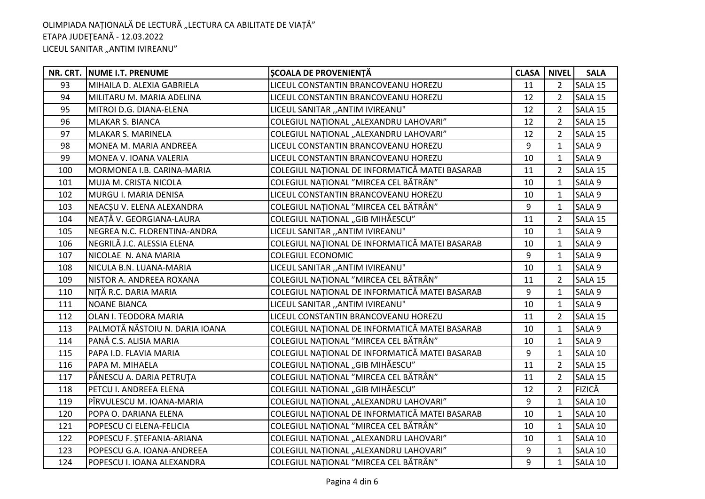|     | NR. CRT. NUME I.T. PRENUME     | ȘCOALA DE PROVENIENȚĂ                          | <b>CLASA</b> | <b>NIVEL</b>   | <b>SALA</b>   |
|-----|--------------------------------|------------------------------------------------|--------------|----------------|---------------|
| 93  | MIHAILA D. ALEXIA GABRIELA     | LICEUL CONSTANTIN BRANCOVEANU HOREZU           | 11           | $\overline{2}$ | SALA 15       |
| 94  | MILITARU M. MARIA ADELINA      | LICEUL CONSTANTIN BRANCOVEANU HOREZU           | 12           | $\overline{2}$ | SALA 15       |
| 95  | MITROI D.G. DIANA-ELENA        | LICEUL SANITAR "ANTIM IVIREANU"                | 12           | $\overline{2}$ | SALA 15       |
| 96  | MLAKAR S. BIANCA               | COLEGIUL NAȚIONAL "ALEXANDRU LAHOVARI"         | 12           | $\overline{2}$ | SALA 15       |
| 97  | <b>MLAKAR S. MARINELA</b>      | COLEGIUL NATIONAL "ALEXANDRU LAHOVARI"         | 12           | $\overline{2}$ | SALA 15       |
| 98  | MONEA M. MARIA ANDREEA         | LICEUL CONSTANTIN BRANCOVEANU HOREZU           | 9            | $\mathbf{1}$   | SALA 9        |
| 99  | MONEA V. IOANA VALERIA         | LICEUL CONSTANTIN BRANCOVEANU HOREZU           | 10           | $\mathbf{1}$   | SALA 9        |
| 100 | MORMONEA I.B. CARINA-MARIA     | COLEGIUL NAȚIONAL DE INFORMATICĂ MATEI BASARAB | 11           | $\overline{2}$ | SALA 15       |
| 101 | MUJA M. CRISTA NICOLA          | COLEGIUL NAȚIONAL "MIRCEA CEL BĂTRÂN"          | 10           | $\mathbf{1}$   | SALA 9        |
| 102 | MURGU I. MARIA DENISA          | LICEUL CONSTANTIN BRANCOVEANU HOREZU           | 10           | $\mathbf{1}$   | SALA 9        |
| 103 | NEACȘU V. ELENA ALEXANDRA      | COLEGIUL NAȚIONAL "MIRCEA CEL BĂTRÂN"          | 9            | $\mathbf{1}$   | SALA 9        |
| 104 | NEAȚĂ V. GEORGIANA-LAURA       | COLEGIUL NAȚIONAL "GIB MIHĂESCU"               | 11           | $\overline{2}$ | SALA 15       |
| 105 | NEGREA N.C. FLORENTINA-ANDRA   | LICEUL SANITAR "ANTIM IVIREANU"                | 10           | $\mathbf{1}$   | SALA 9        |
| 106 | NEGRILĂ J.C. ALESSIA ELENA     | COLEGIUL NAȚIONAL DE INFORMATICĂ MATEI BASARAB | 10           | $\mathbf{1}$   | SALA 9        |
| 107 | NICOLAE N. ANA MARIA           | <b>COLEGIUL ECONOMIC</b>                       | 9            | $\mathbf{1}$   | SALA 9        |
| 108 | NICULA B.N. LUANA-MARIA        | LICEUL SANITAR "ANTIM IVIREANU"                | 10           | $\mathbf{1}$   | SALA 9        |
| 109 | NISTOR A. ANDREEA ROXANA       | COLEGIUL NAȚIONAL "MIRCEA CEL BĂTRÂN"          | 11           | $\overline{2}$ | SALA 15       |
| 110 | NITĂ R.C. DARIA MARIA          | COLEGIUL NAȚIONAL DE INFORMATICĂ MATEI BASARAB | 9            | $\mathbf{1}$   | SALA 9        |
| 111 | <b>NOANE BIANCA</b>            | LICEUL SANITAR "ANTIM IVIREANU"                | 10           | 1              | SALA 9        |
| 112 | OLAN I. TEODORA MARIA          | LICEUL CONSTANTIN BRANCOVEANU HOREZU           | 11           | $\overline{2}$ | SALA 15       |
| 113 | PALMOTĂ NĂSTOIU N. DARIA IOANA | COLEGIUL NAȚIONAL DE INFORMATICĂ MATEI BASARAB | 10           | $\mathbf{1}$   | SALA 9        |
| 114 | PANĂ C.S. ALISIA MARIA         | COLEGIUL NAȚIONAL "MIRCEA CEL BĂTRÂN"          | 10           | $\mathbf{1}$   | SALA 9        |
| 115 | PAPA I.D. FLAVIA MARIA         | COLEGIUL NAȚIONAL DE INFORMATICĂ MATEI BASARAB | 9            | 1              | SALA 10       |
| 116 | PAPA M. MIHAELA                | COLEGIUL NAȚIONAL "GIB MIHĂESCU"               | 11           | $\mathfrak{D}$ | SALA 15       |
| 117 | PĂNESCU A. DARIA PETRUȚA       | COLEGIUL NAȚIONAL "MIRCEA CEL BĂTRÂN"          | 11           | $\overline{2}$ | SALA 15       |
| 118 | PETCU I. ANDREEA ELENA         | COLEGIUL NAȚIONAL "GIB MIHĂESCU"               | 12           | $\overline{2}$ | <b>FIZICĂ</b> |
| 119 | PÎRVULESCU M. IOANA-MARIA      | COLEGIUL NAȚIONAL "ALEXANDRU LAHOVARI"         | 9            | $\mathbf{1}$   | SALA 10       |
| 120 | POPA O. DARIANA ELENA          | COLEGIUL NAȚIONAL DE INFORMATICĂ MATEI BASARAB | 10           | $\mathbf{1}$   | SALA 10       |
| 121 | POPESCU CI ELENA-FELICIA       | COLEGIUL NAȚIONAL "MIRCEA CEL BĂTRÂN"          | 10           | $\mathbf{1}$   | SALA 10       |
| 122 | POPESCU F. ȘTEFANIA-ARIANA     | COLEGIUL NAȚIONAL "ALEXANDRU LAHOVARI"         | 10           | 1              | SALA 10       |
| 123 | POPESCU G.A. IOANA-ANDREEA     | COLEGIUL NAȚIONAL "ALEXANDRU LAHOVARI"         | 9            | $\mathbf{1}$   | SALA 10       |
| 124 | POPESCU I. IOANA ALEXANDRA     | COLEGIUL NAȚIONAL "MIRCEA CEL BĂTRÂN"          | 9            | $\mathbf{1}$   | SALA 10       |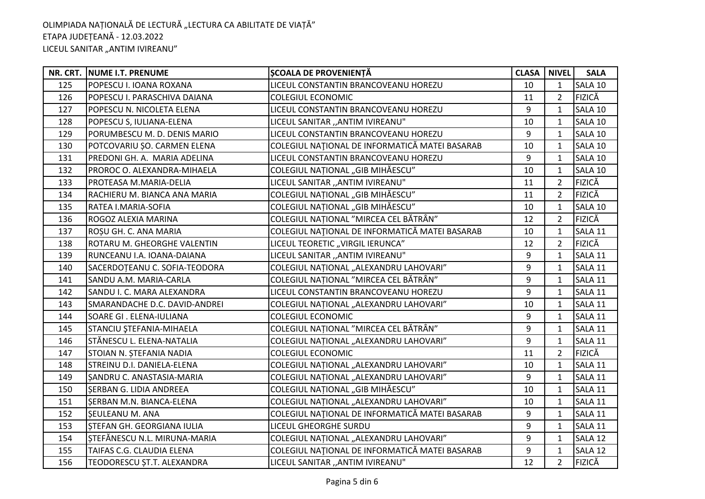|     | NR. CRT. NUME I.T. PRENUME    | <b>SCOALA DE PROVENIENȚĂ</b>                   | <b>CLASA</b> | <b>NIVEL</b>   | <b>SALA</b>   |
|-----|-------------------------------|------------------------------------------------|--------------|----------------|---------------|
| 125 | POPESCU I. IOANA ROXANA       | LICEUL CONSTANTIN BRANCOVEANU HOREZU           | 10           | $\mathbf{1}$   | SALA 10       |
| 126 | POPESCU I. PARASCHIVA DAIANA  | <b>COLEGIUL ECONOMIC</b>                       | 11           | $\overline{2}$ | <b>FIZICĂ</b> |
| 127 | POPESCU N. NICOLETA ELENA     | LICEUL CONSTANTIN BRANCOVEANU HOREZU           | 9            | $\mathbf{1}$   | SALA 10       |
| 128 | POPESCU S, IULIANA-ELENA      | LICEUL SANITAR "ANTIM IVIREANU"                | 10           | 1              | SALA 10       |
| 129 | PORUMBESCU M. D. DENIS MARIO  | LICEUL CONSTANTIN BRANCOVEANU HOREZU           | 9            | $\mathbf{1}$   | SALA 10       |
| 130 | POTCOVARIU SO. CARMEN ELENA   | COLEGIUL NAȚIONAL DE INFORMATICĂ MATEI BASARAB | 10           | $\mathbf{1}$   | SALA 10       |
| 131 | PREDONI GH. A. MARIA ADELINA  | LICEUL CONSTANTIN BRANCOVEANU HOREZU           | 9            | $\mathbf{1}$   | SALA 10       |
| 132 | PROROC O. ALEXANDRA-MIHAELA   | COLEGIUL NAȚIONAL "GIB MIHĂESCU"               | 10           | $\mathbf{1}$   | SALA 10       |
| 133 | PROTEASA M.MARIA-DELIA        | LICEUL SANITAR "ANTIM IVIREANU"                | 11           | $\overline{2}$ | <b>FIZICĂ</b> |
| 134 | RACHIERU M. BIANCA ANA MARIA  | COLEGIUL NATIONAL "GIB MIHĂESCU"               | 11           | $\overline{2}$ | <b>FIZICĂ</b> |
| 135 | RATEA I.MARIA-SOFIA           | COLEGIUL NAȚIONAL "GIB MIHĂESCU"               | 10           | 1              | SALA 10       |
| 136 | ROGOZ ALEXIA MARINA           | COLEGIUL NAȚIONAL "MIRCEA CEL BĂTRÂN"          | 12           | 2              | <b>FIZICĂ</b> |
| 137 | ROSU GH. C. ANA MARIA         | COLEGIUL NAȚIONAL DE INFORMATICĂ MATEI BASARAB | 10           | $\mathbf{1}$   | SALA 11       |
| 138 | ROTARU M. GHEORGHE VALENTIN   | LICEUL TEORETIC "VIRGIL IERUNCA"               | 12           | $\overline{2}$ | <b>FIZICĂ</b> |
| 139 | RUNCEANU I.A. IOANA-DAIANA    | LICEUL SANITAR "ANTIM IVIREANU"                | 9            | $\mathbf{1}$   | SALA 11       |
| 140 | SACERDOȚEANU C. SOFIA-TEODORA | COLEGIUL NAȚIONAL "ALEXANDRU LAHOVARI"         | 9            | $\mathbf{1}$   | SALA 11       |
| 141 | SANDU A.M. MARIA-CARLA        | COLEGIUL NAȚIONAL "MIRCEA CEL BĂTRÂN"          | 9            | $\mathbf{1}$   | SALA 11       |
| 142 | SANDU I. C. MARA ALEXANDRA    | LICEUL CONSTANTIN BRANCOVEANU HOREZU           | 9            | $\mathbf{1}$   | SALA 11       |
| 143 | SMARANDACHE D.C. DAVID-ANDREI | COLEGIUL NAȚIONAL "ALEXANDRU LAHOVARI"         | 10           | 1              | SALA 11       |
| 144 | SOARE GI . ELENA-IULIANA      | <b>COLEGIUL ECONOMIC</b>                       | 9            | 1              | SALA 11       |
| 145 | STANCIU ȘTEFANIA-MIHAELA      | COLEGIUL NAȚIONAL "MIRCEA CEL BĂTRÂN"          | 9            | $\mathbf{1}$   | SALA 11       |
| 146 | STĂNESCU L. ELENA-NATALIA     | COLEGIUL NAȚIONAL "ALEXANDRU LAHOVARI"         | 9            | $\mathbf{1}$   | SALA 11       |
| 147 | STOIAN N. ȘTEFANIA NADIA      | COLEGIUL ECONOMIC                              | 11           | $\overline{2}$ | <b>FIZICĂ</b> |
| 148 | STREINU D.I. DANIELA-ELENA    | COLEGIUL NAȚIONAL "ALEXANDRU LAHOVARI"         | 10           | $\mathbf{1}$   | SALA 11       |
| 149 | SANDRU C. ANASTASIA-MARIA     | COLEGIUL NAȚIONAL "ALEXANDRU LAHOVARI"         | 9            | $\mathbf{1}$   | SALA 11       |
| 150 | SERBAN G. LIDIA ANDREEA       | COLEGIUL NAȚIONAL "GIB MIHĂESCU"               | 10           | 1              | SALA 11       |
| 151 | SERBAN M.N. BIANCA-ELENA      | COLEGIUL NAȚIONAL "ALEXANDRU LAHOVARI"         | 10           | 1              | SALA 11       |
| 152 | <b>SEULEANU M. ANA</b>        | COLEGIUL NAȚIONAL DE INFORMATICĂ MATEI BASARAB | 9            | $\mathbf{1}$   | SALA 11       |
| 153 | STEFAN GH. GEORGIANA IULIA    | LICEUL GHEORGHE SURDU                          | 9            | $\mathbf{1}$   | SALA 11       |
| 154 | STEFĂNESCU N.L. MIRUNA-MARIA  | COLEGIUL NAȚIONAL "ALEXANDRU LAHOVARI"         | 9            | $\mathbf{1}$   | SALA 12       |
| 155 | TAIFAS C.G. CLAUDIA ELENA     | COLEGIUL NAȚIONAL DE INFORMATICĂ MATEI BASARAB | 9            | $\mathbf{1}$   | SALA 12       |
| 156 | TEODORESCU ȘT.T. ALEXANDRA    | LICEUL SANITAR "ANTIM IVIREANU"                | 12           | $\overline{2}$ | <b>FIZICĂ</b> |